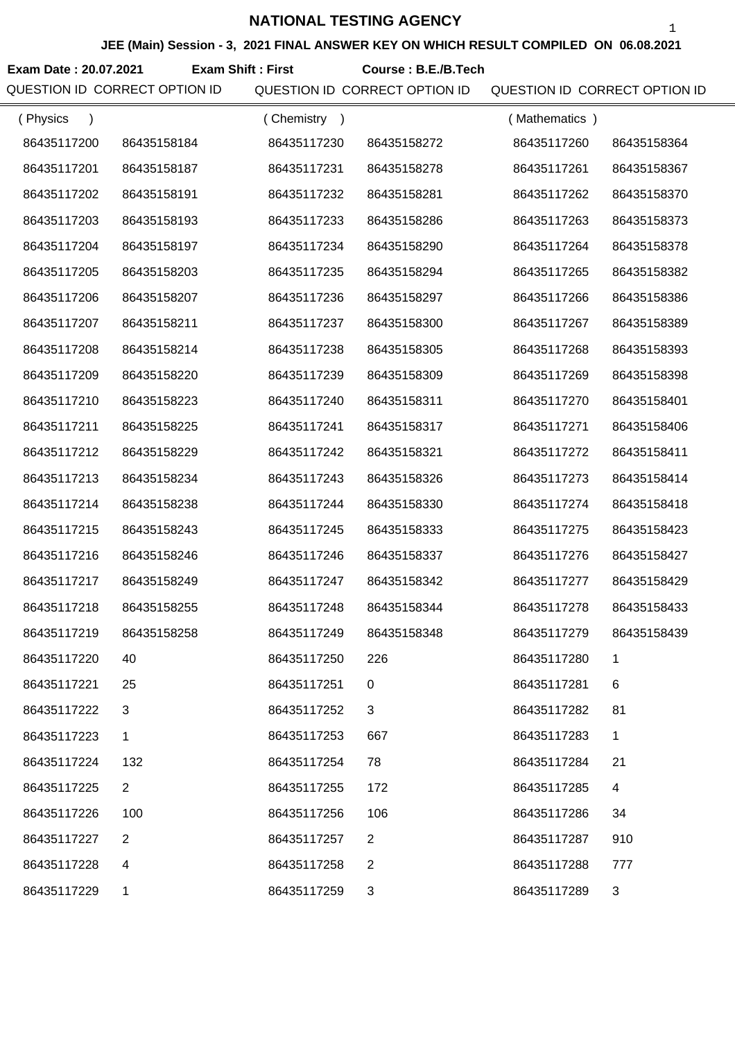**JEE (Main) Session - 3, 2021 FINAL ANSWER KEY ON WHICH RESULT COMPILED ON 06.08.2021**

**Exam Date : 20.07.2021 Course : B.E./B.Tech Exam Shift : First**

QUESTION ID CORRECT OPTION ID QUESTION ID CORRECT OPTION ID QUESTION ID CORRECT OPTION ID

| (Physics<br>$\lambda$ |                | (Chemistry<br>$\rightarrow$ |                | (Mathematics) |             |
|-----------------------|----------------|-----------------------------|----------------|---------------|-------------|
| 86435117200           | 86435158184    | 86435117230                 | 86435158272    | 86435117260   | 86435158364 |
| 86435117201           | 86435158187    | 86435117231                 | 86435158278    | 86435117261   | 86435158367 |
| 86435117202           | 86435158191    | 86435117232                 | 86435158281    | 86435117262   | 86435158370 |
| 86435117203           | 86435158193    | 86435117233                 | 86435158286    | 86435117263   | 86435158373 |
| 86435117204           | 86435158197    | 86435117234                 | 86435158290    | 86435117264   | 86435158378 |
| 86435117205           | 86435158203    | 86435117235                 | 86435158294    | 86435117265   | 86435158382 |
| 86435117206           | 86435158207    | 86435117236                 | 86435158297    | 86435117266   | 86435158386 |
| 86435117207           | 86435158211    | 86435117237                 | 86435158300    | 86435117267   | 86435158389 |
| 86435117208           | 86435158214    | 86435117238                 | 86435158305    | 86435117268   | 86435158393 |
| 86435117209           | 86435158220    | 86435117239                 | 86435158309    | 86435117269   | 86435158398 |
| 86435117210           | 86435158223    | 86435117240                 | 86435158311    | 86435117270   | 86435158401 |
| 86435117211           | 86435158225    | 86435117241                 | 86435158317    | 86435117271   | 86435158406 |
| 86435117212           | 86435158229    | 86435117242                 | 86435158321    | 86435117272   | 86435158411 |
| 86435117213           | 86435158234    | 86435117243                 | 86435158326    | 86435117273   | 86435158414 |
| 86435117214           | 86435158238    | 86435117244                 | 86435158330    | 86435117274   | 86435158418 |
| 86435117215           | 86435158243    | 86435117245                 | 86435158333    | 86435117275   | 86435158423 |
| 86435117216           | 86435158246    | 86435117246                 | 86435158337    | 86435117276   | 86435158427 |
| 86435117217           | 86435158249    | 86435117247                 | 86435158342    | 86435117277   | 86435158429 |
| 86435117218           | 86435158255    | 86435117248                 | 86435158344    | 86435117278   | 86435158433 |
| 86435117219           | 86435158258    | 86435117249                 | 86435158348    | 86435117279   | 86435158439 |
| 86435117220           | 40             | 86435117250                 | 226            | 86435117280   |             |
| 86435117221           | 25             | 86435117251                 | 0              | 86435117281   | 6           |
| 86435117222           | 3              | 86435117252                 | 3              | 86435117282   | 81          |
| 86435117223           | 1              | 86435117253                 | 667            | 86435117283   | 1           |
| 86435117224           | 132            | 86435117254                 | 78             | 86435117284   | 21          |
| 86435117225           | $\overline{2}$ | 86435117255                 | 172            | 86435117285   | 4           |
| 86435117226           | 100            | 86435117256                 | 106            | 86435117286   | 34          |
| 86435117227           | $\overline{2}$ | 86435117257                 | $\overline{2}$ | 86435117287   | 910         |
| 86435117228           | 4              | 86435117258                 | $\overline{2}$ | 86435117288   | 777         |
| 86435117229           | 1              | 86435117259                 | 3              | 86435117289   | 3           |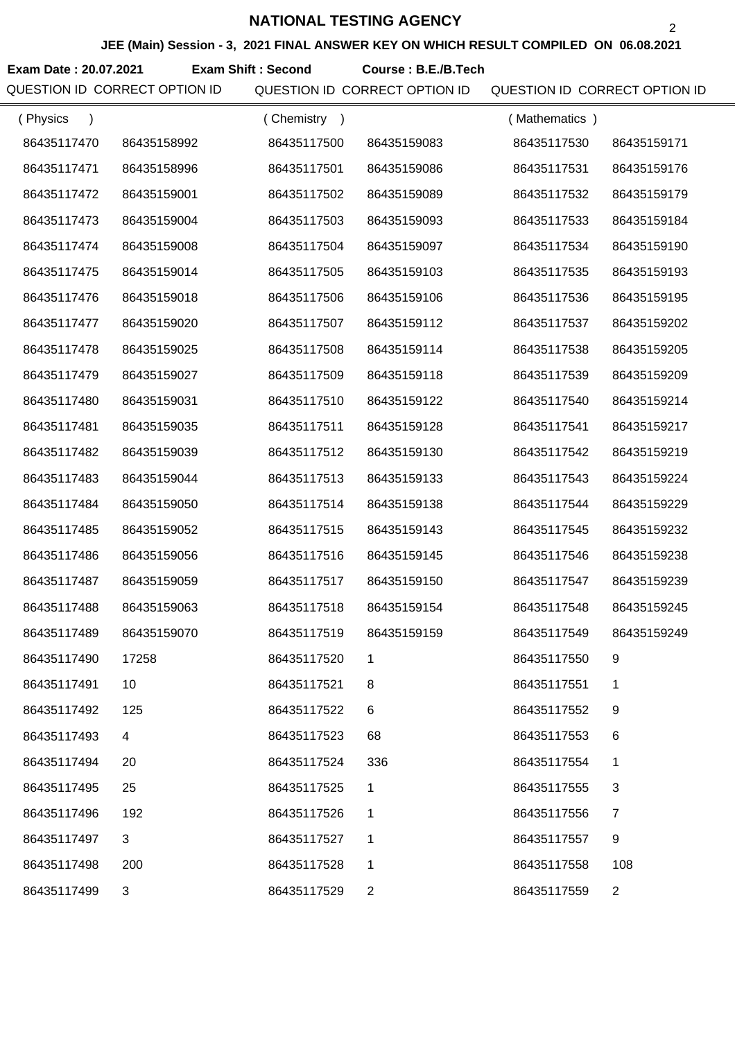**JEE (Main) Session - 3, 2021 FINAL ANSWER KEY ON WHICH RESULT COMPILED ON 06.08.2021**

**Exam Date : 20.07.2021 Course : B.E./B.Tech Exam Shift : Second**

QUESTION ID CORRECT OPTION ID QUESTION ID CORRECT OPTION ID QUESTION ID CORRECT OPTION ID

| (Physics<br>$\lambda$ |             | (Chemistry) |                | (Mathematics) |                |
|-----------------------|-------------|-------------|----------------|---------------|----------------|
| 86435117470           | 86435158992 | 86435117500 | 86435159083    | 86435117530   | 86435159171    |
| 86435117471           | 86435158996 | 86435117501 | 86435159086    | 86435117531   | 86435159176    |
| 86435117472           | 86435159001 | 86435117502 | 86435159089    | 86435117532   | 86435159179    |
| 86435117473           | 86435159004 | 86435117503 | 86435159093    | 86435117533   | 86435159184    |
| 86435117474           | 86435159008 | 86435117504 | 86435159097    | 86435117534   | 86435159190    |
| 86435117475           | 86435159014 | 86435117505 | 86435159103    | 86435117535   | 86435159193    |
| 86435117476           | 86435159018 | 86435117506 | 86435159106    | 86435117536   | 86435159195    |
| 86435117477           | 86435159020 | 86435117507 | 86435159112    | 86435117537   | 86435159202    |
| 86435117478           | 86435159025 | 86435117508 | 86435159114    | 86435117538   | 86435159205    |
| 86435117479           | 86435159027 | 86435117509 | 86435159118    | 86435117539   | 86435159209    |
| 86435117480           | 86435159031 | 86435117510 | 86435159122    | 86435117540   | 86435159214    |
| 86435117481           | 86435159035 | 86435117511 | 86435159128    | 86435117541   | 86435159217    |
| 86435117482           | 86435159039 | 86435117512 | 86435159130    | 86435117542   | 86435159219    |
| 86435117483           | 86435159044 | 86435117513 | 86435159133    | 86435117543   | 86435159224    |
| 86435117484           | 86435159050 | 86435117514 | 86435159138    | 86435117544   | 86435159229    |
| 86435117485           | 86435159052 | 86435117515 | 86435159143    | 86435117545   | 86435159232    |
| 86435117486           | 86435159056 | 86435117516 | 86435159145    | 86435117546   | 86435159238    |
| 86435117487           | 86435159059 | 86435117517 | 86435159150    | 86435117547   | 86435159239    |
| 86435117488           | 86435159063 | 86435117518 | 86435159154    | 86435117548   | 86435159245    |
| 86435117489           | 86435159070 | 86435117519 | 86435159159    | 86435117549   | 86435159249    |
| 86435117490           | 17258       | 86435117520 |                | 86435117550   | 9              |
| 86435117491           | 10          | 86435117521 | 8              | 86435117551   | 1              |
| 86435117492           | 125         | 86435117522 | 6              | 86435117552   | 9              |
| 86435117493           | 4           | 86435117523 | 68             | 86435117553   | 6              |
| 86435117494           | 20          | 86435117524 | 336            | 86435117554   | 1              |
| 86435117495           | 25          | 86435117525 | 1              | 86435117555   | 3              |
| 86435117496           | 192         | 86435117526 | 1              | 86435117556   | 7              |
| 86435117497           | 3           | 86435117527 | 1              | 86435117557   | 9              |
| 86435117498           | 200         | 86435117528 | 1              | 86435117558   | 108            |
| 86435117499           | 3           | 86435117529 | $\overline{2}$ | 86435117559   | $\overline{2}$ |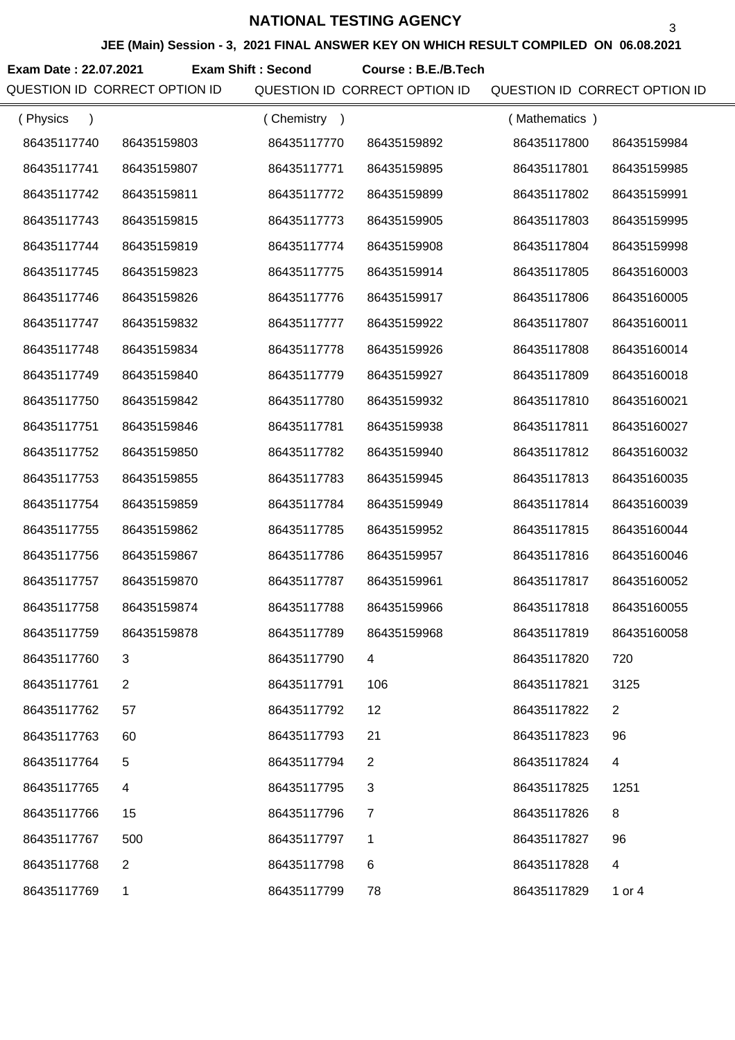**JEE (Main) Session - 3, 2021 FINAL ANSWER KEY ON WHICH RESULT COMPILED ON 06.08.2021**

**Exam Date : 22.07.2021 Course : B.E./B.Tech Exam Shift : Second**

QUESTION ID CORRECT OPTION ID QUESTION ID CORRECT OPTION ID QUESTION ID CORRECT OPTION ID

| (Physics    |             | (Chemistry) |                | (Mathematics) |                |
|-------------|-------------|-------------|----------------|---------------|----------------|
| 86435117740 | 86435159803 | 86435117770 | 86435159892    | 86435117800   | 86435159984    |
| 86435117741 | 86435159807 | 86435117771 | 86435159895    | 86435117801   | 86435159985    |
| 86435117742 | 86435159811 | 86435117772 | 86435159899    | 86435117802   | 86435159991    |
| 86435117743 | 86435159815 | 86435117773 | 86435159905    | 86435117803   | 86435159995    |
| 86435117744 | 86435159819 | 86435117774 | 86435159908    | 86435117804   | 86435159998    |
| 86435117745 | 86435159823 | 86435117775 | 86435159914    | 86435117805   | 86435160003    |
| 86435117746 | 86435159826 | 86435117776 | 86435159917    | 86435117806   | 86435160005    |
| 86435117747 | 86435159832 | 86435117777 | 86435159922    | 86435117807   | 86435160011    |
| 86435117748 | 86435159834 | 86435117778 | 86435159926    | 86435117808   | 86435160014    |
| 86435117749 | 86435159840 | 86435117779 | 86435159927    | 86435117809   | 86435160018    |
| 86435117750 | 86435159842 | 86435117780 | 86435159932    | 86435117810   | 86435160021    |
| 86435117751 | 86435159846 | 86435117781 | 86435159938    | 86435117811   | 86435160027    |
| 86435117752 | 86435159850 | 86435117782 | 86435159940    | 86435117812   | 86435160032    |
| 86435117753 | 86435159855 | 86435117783 | 86435159945    | 86435117813   | 86435160035    |
| 86435117754 | 86435159859 | 86435117784 | 86435159949    | 86435117814   | 86435160039    |
| 86435117755 | 86435159862 | 86435117785 | 86435159952    | 86435117815   | 86435160044    |
| 86435117756 | 86435159867 | 86435117786 | 86435159957    | 86435117816   | 86435160046    |
| 86435117757 | 86435159870 | 86435117787 | 86435159961    | 86435117817   | 86435160052    |
| 86435117758 | 86435159874 | 86435117788 | 86435159966    | 86435117818   | 86435160055    |
| 86435117759 | 86435159878 | 86435117789 | 86435159968    | 86435117819   | 86435160058    |
| 86435117760 | 3           | 86435117790 | 4              | 86435117820   | 720            |
| 86435117761 | 2           | 86435117791 | 106            | 86435117821   | 3125           |
| 86435117762 | 57          | 86435117792 | 12             | 86435117822   | $\overline{2}$ |
| 86435117763 | 60          | 86435117793 | 21             | 86435117823   | 96             |
| 86435117764 | 5           | 86435117794 | $\overline{2}$ | 86435117824   | 4              |
| 86435117765 | 4           | 86435117795 | 3              | 86435117825   | 1251           |
| 86435117766 | 15          | 86435117796 | $\overline{7}$ | 86435117826   | 8              |
| 86435117767 | 500         | 86435117797 | 1              | 86435117827   | 96             |
| 86435117768 | 2           | 86435117798 | 6              | 86435117828   | 4              |
| 86435117769 | 1           | 86435117799 | 78             | 86435117829   | 1 or 4         |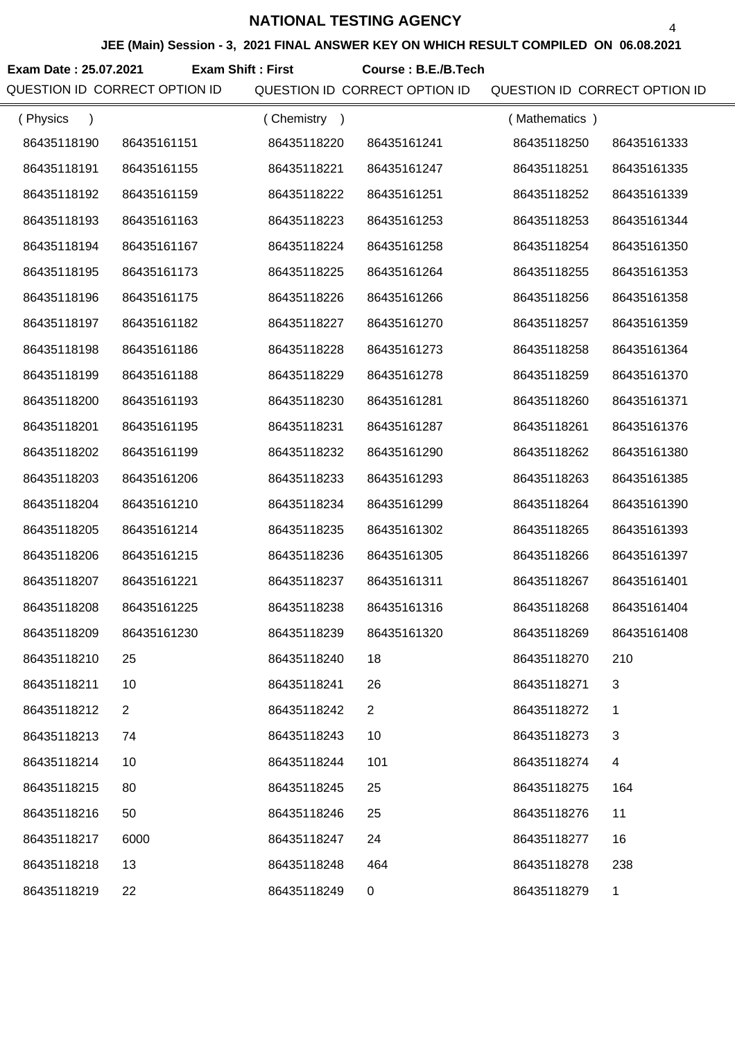**JEE (Main) Session - 3, 2021 FINAL ANSWER KEY ON WHICH RESULT COMPILED ON 06.08.2021**

**Exam Date : 25.07.2021 Course : B.E./B.Tech Exam Shift : First**

QUESTION ID CORRECT OPTION ID QUESTION ID CORRECT OPTION ID QUESTION ID CORRECT OPTION ID

| (Physics<br>$\lambda$ |                | (Chemistry) |                | (Mathematics) |              |
|-----------------------|----------------|-------------|----------------|---------------|--------------|
| 86435118190           | 86435161151    | 86435118220 | 86435161241    | 86435118250   | 86435161333  |
| 86435118191           | 86435161155    | 86435118221 | 86435161247    | 86435118251   | 86435161335  |
| 86435118192           | 86435161159    | 86435118222 | 86435161251    | 86435118252   | 86435161339  |
| 86435118193           | 86435161163    | 86435118223 | 86435161253    | 86435118253   | 86435161344  |
| 86435118194           | 86435161167    | 86435118224 | 86435161258    | 86435118254   | 86435161350  |
| 86435118195           | 86435161173    | 86435118225 | 86435161264    | 86435118255   | 86435161353  |
| 86435118196           | 86435161175    | 86435118226 | 86435161266    | 86435118256   | 86435161358  |
| 86435118197           | 86435161182    | 86435118227 | 86435161270    | 86435118257   | 86435161359  |
| 86435118198           | 86435161186    | 86435118228 | 86435161273    | 86435118258   | 86435161364  |
| 86435118199           | 86435161188    | 86435118229 | 86435161278    | 86435118259   | 86435161370  |
| 86435118200           | 86435161193    | 86435118230 | 86435161281    | 86435118260   | 86435161371  |
| 86435118201           | 86435161195    | 86435118231 | 86435161287    | 86435118261   | 86435161376  |
| 86435118202           | 86435161199    | 86435118232 | 86435161290    | 86435118262   | 86435161380  |
| 86435118203           | 86435161206    | 86435118233 | 86435161293    | 86435118263   | 86435161385  |
| 86435118204           | 86435161210    | 86435118234 | 86435161299    | 86435118264   | 86435161390  |
| 86435118205           | 86435161214    | 86435118235 | 86435161302    | 86435118265   | 86435161393  |
| 86435118206           | 86435161215    | 86435118236 | 86435161305    | 86435118266   | 86435161397  |
| 86435118207           | 86435161221    | 86435118237 | 86435161311    | 86435118267   | 86435161401  |
| 86435118208           | 86435161225    | 86435118238 | 86435161316    | 86435118268   | 86435161404  |
| 86435118209           | 86435161230    | 86435118239 | 86435161320    | 86435118269   | 86435161408  |
| 86435118210           | 25             | 86435118240 | 18             | 86435118270   | 210          |
| 86435118211           | 10             | 86435118241 | 26             | 86435118271   | 3            |
| 86435118212           | $\overline{2}$ | 86435118242 | $\overline{2}$ | 86435118272   | 1            |
| 86435118213           | 74             | 86435118243 | 10             | 86435118273   | 3            |
| 86435118214           | 10             | 86435118244 | 101            | 86435118274   | 4            |
| 86435118215           | 80             | 86435118245 | 25             | 86435118275   | 164          |
| 86435118216           | 50             | 86435118246 | 25             | 86435118276   | 11           |
| 86435118217           | 6000           | 86435118247 | 24             | 86435118277   | 16           |
| 86435118218           | 13             | 86435118248 | 464            | 86435118278   | 238          |
| 86435118219           | 22             | 86435118249 | $\mathbf 0$    | 86435118279   | $\mathbf{1}$ |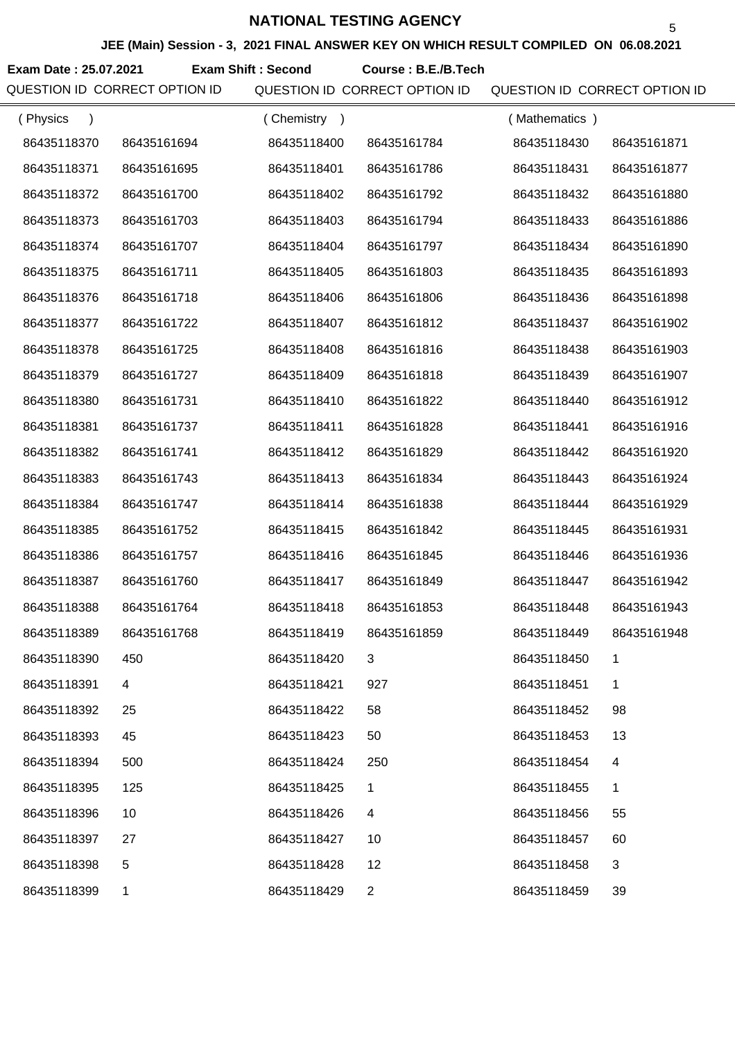**JEE (Main) Session - 3, 2021 FINAL ANSWER KEY ON WHICH RESULT COMPILED ON 06.08.2021**

**Exam Date : 25.07.2021 Course : B.E./B.Tech Exam Shift : Second**

QUESTION ID CORRECT OPTION ID QUESTION ID CORRECT OPTION ID QUESTION ID CORRECT OPTION ID

| (Physics<br>$\lambda$ |             | (Chemistry<br>$\overline{\phantom{a}}$ |                | (Mathematics) |             |
|-----------------------|-------------|----------------------------------------|----------------|---------------|-------------|
| 86435118370           | 86435161694 | 86435118400                            | 86435161784    | 86435118430   | 86435161871 |
| 86435118371           | 86435161695 | 86435118401                            | 86435161786    | 86435118431   | 86435161877 |
| 86435118372           | 86435161700 | 86435118402                            | 86435161792    | 86435118432   | 86435161880 |
| 86435118373           | 86435161703 | 86435118403                            | 86435161794    | 86435118433   | 86435161886 |
| 86435118374           | 86435161707 | 86435118404                            | 86435161797    | 86435118434   | 86435161890 |
| 86435118375           | 86435161711 | 86435118405                            | 86435161803    | 86435118435   | 86435161893 |
| 86435118376           | 86435161718 | 86435118406                            | 86435161806    | 86435118436   | 86435161898 |
| 86435118377           | 86435161722 | 86435118407                            | 86435161812    | 86435118437   | 86435161902 |
| 86435118378           | 86435161725 | 86435118408                            | 86435161816    | 86435118438   | 86435161903 |
| 86435118379           | 86435161727 | 86435118409                            | 86435161818    | 86435118439   | 86435161907 |
| 86435118380           | 86435161731 | 86435118410                            | 86435161822    | 86435118440   | 86435161912 |
| 86435118381           | 86435161737 | 86435118411                            | 86435161828    | 86435118441   | 86435161916 |
| 86435118382           | 86435161741 | 86435118412                            | 86435161829    | 86435118442   | 86435161920 |
| 86435118383           | 86435161743 | 86435118413                            | 86435161834    | 86435118443   | 86435161924 |
| 86435118384           | 86435161747 | 86435118414                            | 86435161838    | 86435118444   | 86435161929 |
| 86435118385           | 86435161752 | 86435118415                            | 86435161842    | 86435118445   | 86435161931 |
| 86435118386           | 86435161757 | 86435118416                            | 86435161845    | 86435118446   | 86435161936 |
| 86435118387           | 86435161760 | 86435118417                            | 86435161849    | 86435118447   | 86435161942 |
| 86435118388           | 86435161764 | 86435118418                            | 86435161853    | 86435118448   | 86435161943 |
| 86435118389           | 86435161768 | 86435118419                            | 86435161859    | 86435118449   | 86435161948 |
| 86435118390           | 450         | 86435118420                            |                | 86435118450   |             |
| 86435118391           | 4           | 86435118421                            | 927            | 86435118451   | 1           |
| 86435118392           | 25          | 86435118422                            | 58             | 86435118452   | 98          |
| 86435118393           | 45          | 86435118423                            | 50             | 86435118453   | 13          |
| 86435118394           | 500         | 86435118424                            | 250            | 86435118454   | 4           |
| 86435118395           | 125         | 86435118425                            | 1              | 86435118455   | 1           |
| 86435118396           | 10          | 86435118426                            | 4              | 86435118456   | 55          |
| 86435118397           | 27          | 86435118427                            | 10             | 86435118457   | 60          |
| 86435118398           | 5           | 86435118428                            | 12             | 86435118458   | 3           |
| 86435118399           | 1           | 86435118429                            | $\overline{2}$ | 86435118459   | 39          |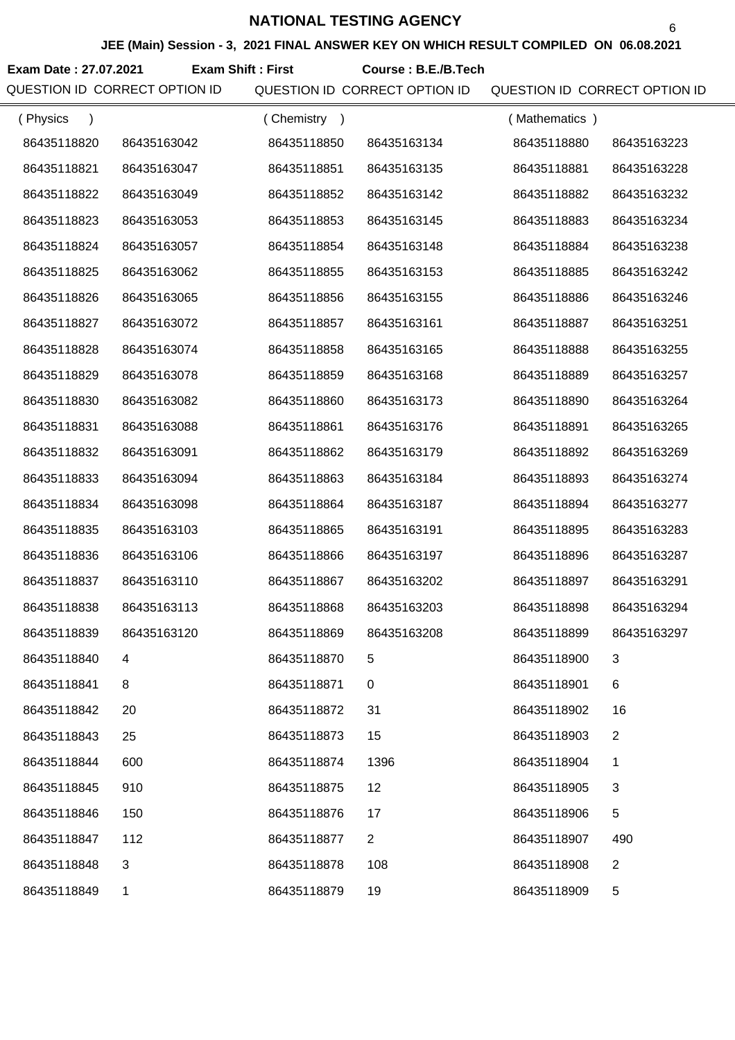**JEE (Main) Session - 3, 2021 FINAL ANSWER KEY ON WHICH RESULT COMPILED ON 06.08.2021**

**Exam Date : 27.07.2021 Course : B.E./B.Tech Exam Shift : First**

QUESTION ID CORRECT OPTION ID QUESTION ID CORRECT OPTION ID QUESTION ID CORRECT OPTION ID

| (Physics<br>$\lambda$ |              | (Chemistry<br>$\rightarrow$ |                | (Mathematics) |                |
|-----------------------|--------------|-----------------------------|----------------|---------------|----------------|
| 86435118820           | 86435163042  | 86435118850                 | 86435163134    | 86435118880   | 86435163223    |
| 86435118821           | 86435163047  | 86435118851                 | 86435163135    | 86435118881   | 86435163228    |
| 86435118822           | 86435163049  | 86435118852                 | 86435163142    | 86435118882   | 86435163232    |
| 86435118823           | 86435163053  | 86435118853                 | 86435163145    | 86435118883   | 86435163234    |
| 86435118824           | 86435163057  | 86435118854                 | 86435163148    | 86435118884   | 86435163238    |
| 86435118825           | 86435163062  | 86435118855                 | 86435163153    | 86435118885   | 86435163242    |
| 86435118826           | 86435163065  | 86435118856                 | 86435163155    | 86435118886   | 86435163246    |
| 86435118827           | 86435163072  | 86435118857                 | 86435163161    | 86435118887   | 86435163251    |
| 86435118828           | 86435163074  | 86435118858                 | 86435163165    | 86435118888   | 86435163255    |
| 86435118829           | 86435163078  | 86435118859                 | 86435163168    | 86435118889   | 86435163257    |
| 86435118830           | 86435163082  | 86435118860                 | 86435163173    | 86435118890   | 86435163264    |
| 86435118831           | 86435163088  | 86435118861                 | 86435163176    | 86435118891   | 86435163265    |
| 86435118832           | 86435163091  | 86435118862                 | 86435163179    | 86435118892   | 86435163269    |
| 86435118833           | 86435163094  | 86435118863                 | 86435163184    | 86435118893   | 86435163274    |
| 86435118834           | 86435163098  | 86435118864                 | 86435163187    | 86435118894   | 86435163277    |
| 86435118835           | 86435163103  | 86435118865                 | 86435163191    | 86435118895   | 86435163283    |
| 86435118836           | 86435163106  | 86435118866                 | 86435163197    | 86435118896   | 86435163287    |
| 86435118837           | 86435163110  | 86435118867                 | 86435163202    | 86435118897   | 86435163291    |
| 86435118838           | 86435163113  | 86435118868                 | 86435163203    | 86435118898   | 86435163294    |
| 86435118839           | 86435163120  | 86435118869                 | 86435163208    | 86435118899   | 86435163297    |
| 86435118840           |              | 86435118870                 |                | 86435118900   |                |
| 86435118841           | 8            | 86435118871                 | 0              | 86435118901   | 6              |
| 86435118842           | 20           | 86435118872                 | 31             | 86435118902   | 16             |
| 86435118843           | 25           | 86435118873                 | 15             | 86435118903   | $\overline{2}$ |
| 86435118844           | 600          | 86435118874                 | 1396           | 86435118904   | 1              |
| 86435118845           | 910          | 86435118875                 | 12             | 86435118905   | 3              |
| 86435118846           | 150          | 86435118876                 | 17             | 86435118906   | 5              |
| 86435118847           | 112          | 86435118877                 | $\overline{2}$ | 86435118907   | 490            |
| 86435118848           | $\mathbf{3}$ | 86435118878                 | 108            | 86435118908   | $\overline{2}$ |
| 86435118849           | 1            | 86435118879                 | 19             | 86435118909   | 5              |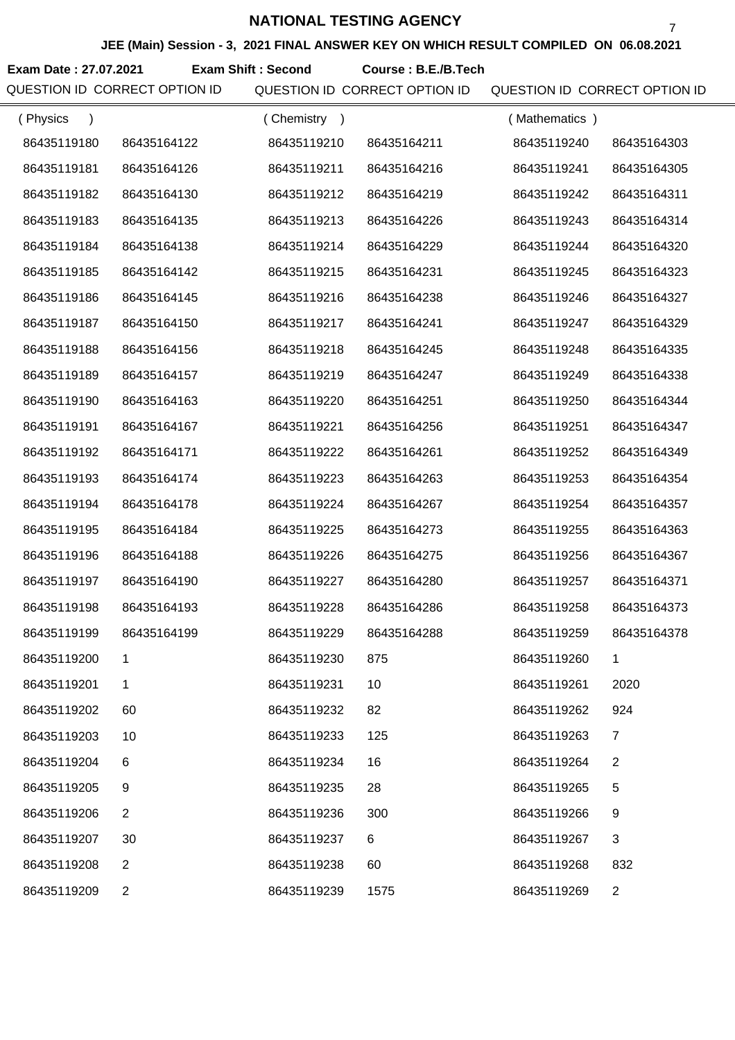**JEE (Main) Session - 3, 2021 FINAL ANSWER KEY ON WHICH RESULT COMPILED ON 06.08.2021**

**Exam Date : 27.07.2021 Course : B.E./B.Tech Exam Shift : Second**

QUESTION ID CORRECT OPTION ID QUESTION ID CORRECT OPTION ID QUESTION ID CORRECT OPTION ID

| (Physics<br>$\lambda$ |                | (Chemistry) |             | (Mathematics) |                |
|-----------------------|----------------|-------------|-------------|---------------|----------------|
| 86435119180           | 86435164122    | 86435119210 | 86435164211 | 86435119240   | 86435164303    |
| 86435119181           | 86435164126    | 86435119211 | 86435164216 | 86435119241   | 86435164305    |
| 86435119182           | 86435164130    | 86435119212 | 86435164219 | 86435119242   | 86435164311    |
| 86435119183           | 86435164135    | 86435119213 | 86435164226 | 86435119243   | 86435164314    |
| 86435119184           | 86435164138    | 86435119214 | 86435164229 | 86435119244   | 86435164320    |
| 86435119185           | 86435164142    | 86435119215 | 86435164231 | 86435119245   | 86435164323    |
| 86435119186           | 86435164145    | 86435119216 | 86435164238 | 86435119246   | 86435164327    |
| 86435119187           | 86435164150    | 86435119217 | 86435164241 | 86435119247   | 86435164329    |
| 86435119188           | 86435164156    | 86435119218 | 86435164245 | 86435119248   | 86435164335    |
| 86435119189           | 86435164157    | 86435119219 | 86435164247 | 86435119249   | 86435164338    |
| 86435119190           | 86435164163    | 86435119220 | 86435164251 | 86435119250   | 86435164344    |
| 86435119191           | 86435164167    | 86435119221 | 86435164256 | 86435119251   | 86435164347    |
| 86435119192           | 86435164171    | 86435119222 | 86435164261 | 86435119252   | 86435164349    |
| 86435119193           | 86435164174    | 86435119223 | 86435164263 | 86435119253   | 86435164354    |
| 86435119194           | 86435164178    | 86435119224 | 86435164267 | 86435119254   | 86435164357    |
| 86435119195           | 86435164184    | 86435119225 | 86435164273 | 86435119255   | 86435164363    |
| 86435119196           | 86435164188    | 86435119226 | 86435164275 | 86435119256   | 86435164367    |
| 86435119197           | 86435164190    | 86435119227 | 86435164280 | 86435119257   | 86435164371    |
| 86435119198           | 86435164193    | 86435119228 | 86435164286 | 86435119258   | 86435164373    |
| 86435119199           | 86435164199    | 86435119229 | 86435164288 | 86435119259   | 86435164378    |
| 86435119200           |                | 86435119230 | 875         | 86435119260   |                |
| 86435119201           | 1              | 86435119231 | 10          | 86435119261   | 2020           |
| 86435119202           | 60             | 86435119232 | 82          | 86435119262   | 924            |
| 86435119203           | 10             | 86435119233 | 125         | 86435119263   | 7              |
| 86435119204           | 6              | 86435119234 | 16          | 86435119264   | 2              |
| 86435119205           | 9              | 86435119235 | 28          | 86435119265   | 5              |
| 86435119206           | 2              | 86435119236 | 300         | 86435119266   | 9              |
| 86435119207           | 30             | 86435119237 | 6           | 86435119267   | 3              |
| 86435119208           | $\overline{2}$ | 86435119238 | 60          | 86435119268   | 832            |
| 86435119209           | $\overline{2}$ | 86435119239 | 1575        | 86435119269   | $\overline{2}$ |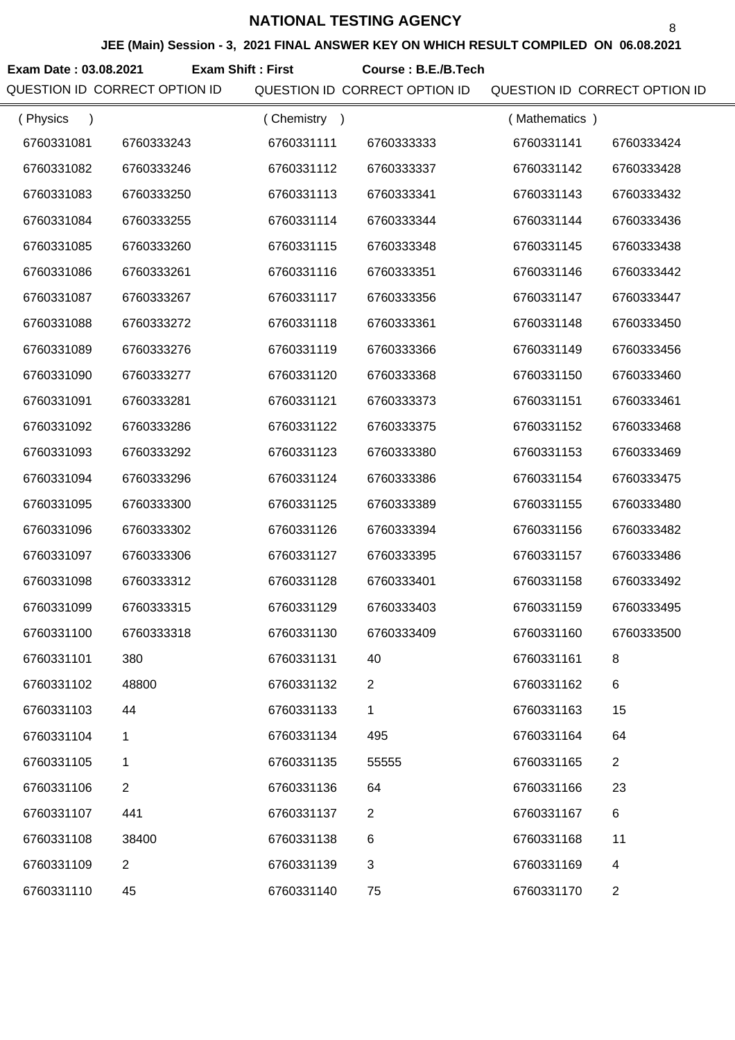**JEE (Main) Session - 3, 2021 FINAL ANSWER KEY ON WHICH RESULT COMPILED ON 06.08.2021**

**Exam Date : 03.08.2021 Course : B.E./B.Tech Exam Shift : First**

QUESTION ID CORRECT OPTION ID QUESTION ID CORRECT OPTION ID QUESTION ID CORRECT OPTION ID

| (Physics   |                | Chemistry<br>$\rightarrow$ |                | (Mathematics) |                |
|------------|----------------|----------------------------|----------------|---------------|----------------|
| 6760331081 | 6760333243     | 6760331111                 | 6760333333     | 6760331141    | 6760333424     |
| 6760331082 | 6760333246     | 6760331112                 | 6760333337     | 6760331142    | 6760333428     |
| 6760331083 | 6760333250     | 6760331113                 | 6760333341     | 6760331143    | 6760333432     |
| 6760331084 | 6760333255     | 6760331114                 | 6760333344     | 6760331144    | 6760333436     |
| 6760331085 | 6760333260     | 6760331115                 | 6760333348     | 6760331145    | 6760333438     |
| 6760331086 | 6760333261     | 6760331116                 | 6760333351     | 6760331146    | 6760333442     |
| 6760331087 | 6760333267     | 6760331117                 | 6760333356     | 6760331147    | 6760333447     |
| 6760331088 | 6760333272     | 6760331118                 | 6760333361     | 6760331148    | 6760333450     |
| 6760331089 | 6760333276     | 6760331119                 | 6760333366     | 6760331149    | 6760333456     |
| 6760331090 | 6760333277     | 6760331120                 | 6760333368     | 6760331150    | 6760333460     |
| 6760331091 | 6760333281     | 6760331121                 | 6760333373     | 6760331151    | 6760333461     |
| 6760331092 | 6760333286     | 6760331122                 | 6760333375     | 6760331152    | 6760333468     |
| 6760331093 | 6760333292     | 6760331123                 | 6760333380     | 6760331153    | 6760333469     |
| 6760331094 | 6760333296     | 6760331124                 | 6760333386     | 6760331154    | 6760333475     |
| 6760331095 | 6760333300     | 6760331125                 | 6760333389     | 6760331155    | 6760333480     |
| 6760331096 | 6760333302     | 6760331126                 | 6760333394     | 6760331156    | 6760333482     |
| 6760331097 | 6760333306     | 6760331127                 | 6760333395     | 6760331157    | 6760333486     |
| 6760331098 | 6760333312     | 6760331128                 | 6760333401     | 6760331158    | 6760333492     |
| 6760331099 | 6760333315     | 6760331129                 | 6760333403     | 6760331159    | 6760333495     |
| 6760331100 | 6760333318     | 6760331130                 | 6760333409     | 6760331160    | 6760333500     |
| 6760331101 | 380            | 6760331131                 | 40             | 6760331161    | 8              |
| 6760331102 | 48800          | 6760331132                 | $\overline{2}$ | 6760331162    | 6              |
| 6760331103 | 44             | 6760331133                 | 1              | 6760331163    | 15             |
| 6760331104 | 1              | 6760331134                 | 495            | 6760331164    | 64             |
| 6760331105 | 1              | 6760331135                 | 55555          | 6760331165    | $\overline{2}$ |
| 6760331106 | $\overline{2}$ | 6760331136                 | 64             | 6760331166    | 23             |
| 6760331107 | 441            | 6760331137                 | 2              | 6760331167    | 6              |
| 6760331108 | 38400          | 6760331138                 | 6              | 6760331168    | 11             |
| 6760331109 | $\overline{2}$ | 6760331139                 | 3              | 6760331169    | 4              |
| 6760331110 | 45             | 6760331140                 | 75             | 6760331170    | $\overline{c}$ |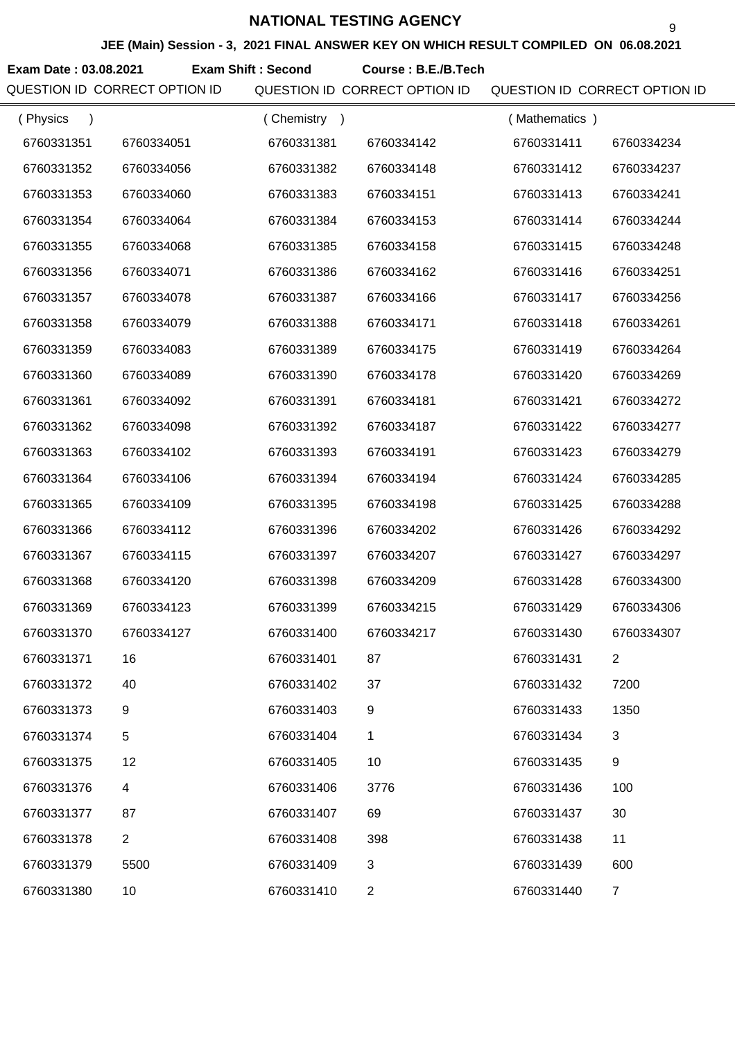**JEE (Main) Session - 3, 2021 FINAL ANSWER KEY ON WHICH RESULT COMPILED ON 06.08.2021**

**Exam Date : 03.08.2021 Course : B.E./B.Tech Exam Shift : Second**

QUESTION ID CORRECT OPTION ID QUESTION ID CORRECT OPTION ID QUESTION ID CORRECT OPTION ID

| (Physics   |                | (Chemistry<br>$\rightarrow$ |                | (Mathematics) |                |
|------------|----------------|-----------------------------|----------------|---------------|----------------|
| 6760331351 | 6760334051     | 6760331381                  | 6760334142     | 6760331411    | 6760334234     |
| 6760331352 | 6760334056     | 6760331382                  | 6760334148     | 6760331412    | 6760334237     |
| 6760331353 | 6760334060     | 6760331383                  | 6760334151     | 6760331413    | 6760334241     |
| 6760331354 | 6760334064     | 6760331384                  | 6760334153     | 6760331414    | 6760334244     |
| 6760331355 | 6760334068     | 6760331385                  | 6760334158     | 6760331415    | 6760334248     |
| 6760331356 | 6760334071     | 6760331386                  | 6760334162     | 6760331416    | 6760334251     |
| 6760331357 | 6760334078     | 6760331387                  | 6760334166     | 6760331417    | 6760334256     |
| 6760331358 | 6760334079     | 6760331388                  | 6760334171     | 6760331418    | 6760334261     |
| 6760331359 | 6760334083     | 6760331389                  | 6760334175     | 6760331419    | 6760334264     |
| 6760331360 | 6760334089     | 6760331390                  | 6760334178     | 6760331420    | 6760334269     |
| 6760331361 | 6760334092     | 6760331391                  | 6760334181     | 6760331421    | 6760334272     |
| 6760331362 | 6760334098     | 6760331392                  | 6760334187     | 6760331422    | 6760334277     |
| 6760331363 | 6760334102     | 6760331393                  | 6760334191     | 6760331423    | 6760334279     |
| 6760331364 | 6760334106     | 6760331394                  | 6760334194     | 6760331424    | 6760334285     |
| 6760331365 | 6760334109     | 6760331395                  | 6760334198     | 6760331425    | 6760334288     |
| 6760331366 | 6760334112     | 6760331396                  | 6760334202     | 6760331426    | 6760334292     |
| 6760331367 | 6760334115     | 6760331397                  | 6760334207     | 6760331427    | 6760334297     |
| 6760331368 | 6760334120     | 6760331398                  | 6760334209     | 6760331428    | 6760334300     |
| 6760331369 | 6760334123     | 6760331399                  | 6760334215     | 6760331429    | 6760334306     |
| 6760331370 | 6760334127     | 6760331400                  | 6760334217     | 6760331430    | 6760334307     |
| 6760331371 | 16             | 6760331401                  | 87             | 6760331431    |                |
| 6760331372 | 40             | 6760331402                  | 37             | 6760331432    | 7200           |
| 6760331373 | 9              | 6760331403                  | 9              | 6760331433    | 1350           |
| 6760331374 | 5              | 6760331404                  | 1              | 6760331434    | 3              |
| 6760331375 | 12             | 6760331405                  | 10             | 6760331435    | 9              |
| 6760331376 | 4              | 6760331406                  | 3776           | 6760331436    | 100            |
| 6760331377 | 87             | 6760331407                  | 69             | 6760331437    | 30             |
| 6760331378 | $\overline{2}$ | 6760331408                  | 398            | 6760331438    | 11             |
| 6760331379 | 5500           | 6760331409                  | 3              | 6760331439    | 600            |
| 6760331380 | 10             | 6760331410                  | $\overline{2}$ | 6760331440    | $\overline{7}$ |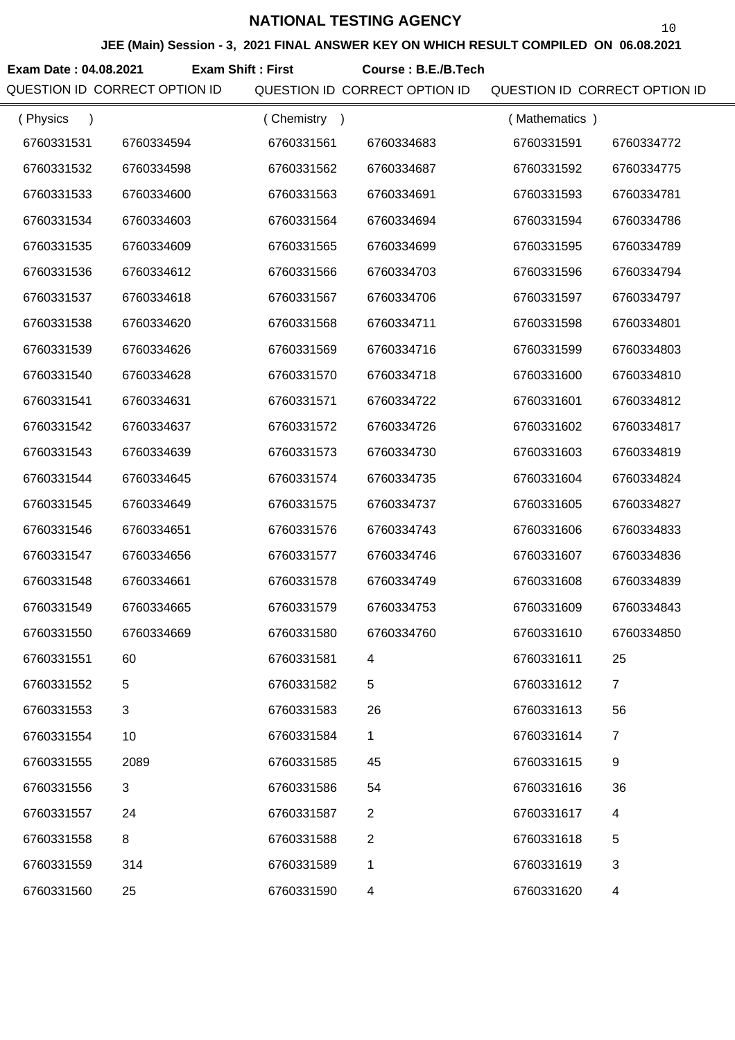**JEE (Main) Session - 3, 2021 FINAL ANSWER KEY ON WHICH RESULT COMPILED ON 06.08.2021**

**Exam Date : 04.08.2021 Course : B.E./B.Tech Exam Shift : First**

QUESTION ID CORRECT OPTION ID QUESTION ID CORRECT OPTION ID QUESTION ID CORRECT OPTION ID

| (Physics<br>$\lambda$ |                | (Chemistry<br>$\rightarrow$ |                | (Mathematics) |                |
|-----------------------|----------------|-----------------------------|----------------|---------------|----------------|
| 6760331531            | 6760334594     | 6760331561                  | 6760334683     | 6760331591    | 6760334772     |
| 6760331532            | 6760334598     | 6760331562                  | 6760334687     | 6760331592    | 6760334775     |
| 6760331533            | 6760334600     | 6760331563                  | 6760334691     | 6760331593    | 6760334781     |
| 6760331534            | 6760334603     | 6760331564                  | 6760334694     | 6760331594    | 6760334786     |
| 6760331535            | 6760334609     | 6760331565                  | 6760334699     | 6760331595    | 6760334789     |
| 6760331536            | 6760334612     | 6760331566                  | 6760334703     | 6760331596    | 6760334794     |
| 6760331537            | 6760334618     | 6760331567                  | 6760334706     | 6760331597    | 6760334797     |
| 6760331538            | 6760334620     | 6760331568                  | 6760334711     | 6760331598    | 6760334801     |
| 6760331539            | 6760334626     | 6760331569                  | 6760334716     | 6760331599    | 6760334803     |
| 6760331540            | 6760334628     | 6760331570                  | 6760334718     | 6760331600    | 6760334810     |
| 6760331541            | 6760334631     | 6760331571                  | 6760334722     | 6760331601    | 6760334812     |
| 6760331542            | 6760334637     | 6760331572                  | 6760334726     | 6760331602    | 6760334817     |
| 6760331543            | 6760334639     | 6760331573                  | 6760334730     | 6760331603    | 6760334819     |
| 6760331544            | 6760334645     | 6760331574                  | 6760334735     | 6760331604    | 6760334824     |
| 6760331545            | 6760334649     | 6760331575                  | 6760334737     | 6760331605    | 6760334827     |
| 6760331546            | 6760334651     | 6760331576                  | 6760334743     | 6760331606    | 6760334833     |
| 6760331547            | 6760334656     | 6760331577                  | 6760334746     | 6760331607    | 6760334836     |
| 6760331548            | 6760334661     | 6760331578                  | 6760334749     | 6760331608    | 6760334839     |
| 6760331549            | 6760334665     | 6760331579                  | 6760334753     | 6760331609    | 6760334843     |
| 6760331550            | 6760334669     | 6760331580                  | 6760334760     | 6760331610    | 6760334850     |
| 6760331551            | 60             | 6760331581                  | 4              | 6760331611    | 25             |
| 6760331552            | 5              | 6760331582                  | 5              | 6760331612    | $\overline{7}$ |
| 6760331553            | $\mathfrak{B}$ | 6760331583                  | 26             | 6760331613    | 56             |
| 6760331554            | 10             | 6760331584                  | 1              | 6760331614    | $\overline{7}$ |
| 6760331555            | 2089           | 6760331585                  | 45             | 6760331615    | 9              |
| 6760331556            | 3              | 6760331586                  | 54             | 6760331616    | 36             |
| 6760331557            | 24             | 6760331587                  | $\overline{2}$ | 6760331617    | 4              |
| 6760331558            | 8              | 6760331588                  | $\mathbf{2}$   | 6760331618    | 5              |
| 6760331559            | 314            | 6760331589                  | 1              | 6760331619    | 3              |
| 6760331560            | 25             | 6760331590                  | 4              | 6760331620    | 4              |